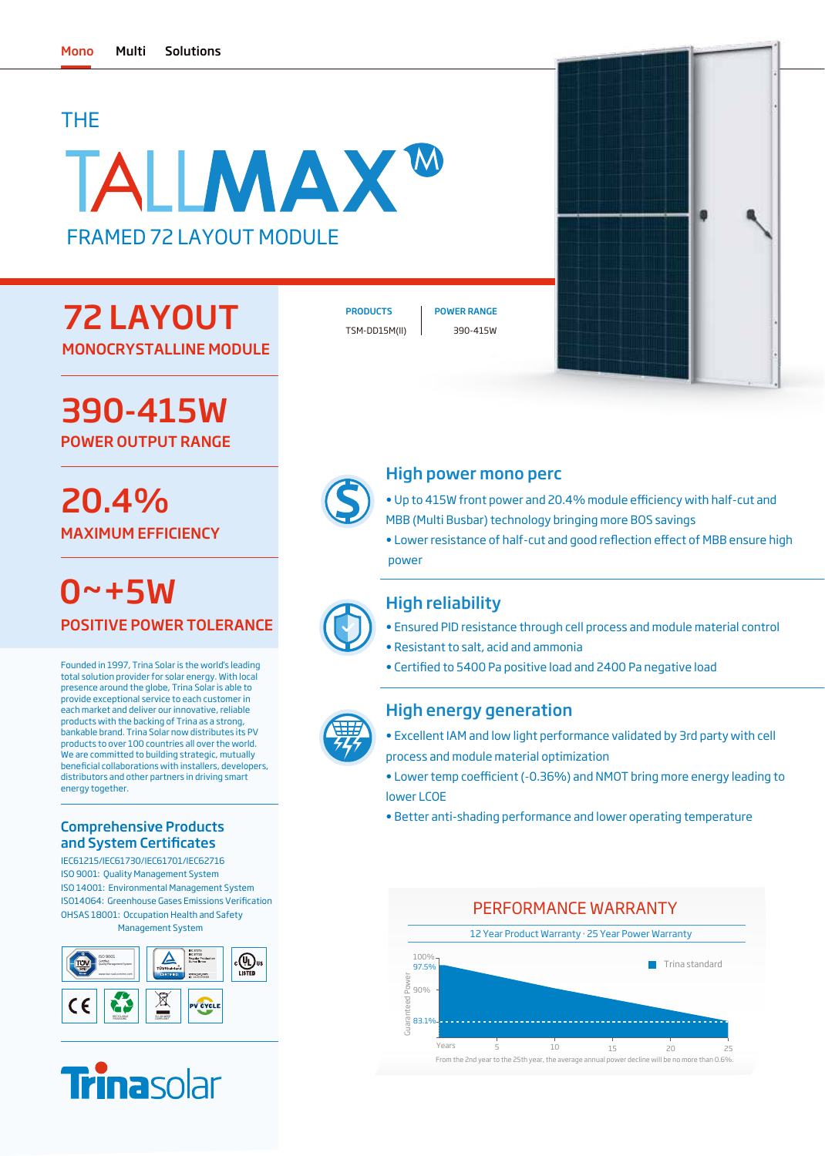## THE

# TALIMAX<sup>w</sup> FRAMED 72 LAYOUT MODULE

## 72 LAYOUT MONOCRYSTALLINE MODULE

## 390-415W POWER OUTPUT RANGE

# 20.4% MAXIMUM EFFICIENCY

POSITIVE POWER TOLERANCE  $0 - + 5W$ 

Founded in 1997, Trina Solar is the world's leading total solution provider for solar energy. With local presence around the globe, Trina Solar is able to provide exceptional service to each customer in each market and deliver our innovative, reliable products with the backing of Trina as a strong, bankable brand. Trina Solar now distributes its PV products to over 100 countries all over the world. We are committed to building strategic, mutually beneficial collaborations with installers, developers, distributors and other partners in driving smart energy together.

### Comprehensive Products and System Certificates

IEC61215/IEC61730/IEC61701/IEC62716 ISO 9001: Quality Management System ISO 14001: Environmental Management System OHSAS 18001: Occupation Health and Safety Management System ISO14064: Greenhouse Gases Emissions Verification





TSM-DD15M(II) 390-415W

PRODUCTS | POWER RANGE



### High power mono perc

- Up to 415W front power and 20.4% module efficiency with half-cut and MBB (Multi Busbar) technology bringing more BOS savings
- Lower resistance of half-cut and good reflection effect of MBB ensure high power

## High reliability

- Ensured PID resistance through cell process and module material control
- Resistant to salt, acid and ammonia
- Certified to 5400 Pa positive load and 2400 Pa negative load

### High energy generation

- Excellent IAM and low light performance validated by 3rd party with cell process and module material optimization
- Lower temp coefficient (-0.36%) and NMOT bring more energy leading to lower LCOE
- Better anti-shading performance and lower operating temperature